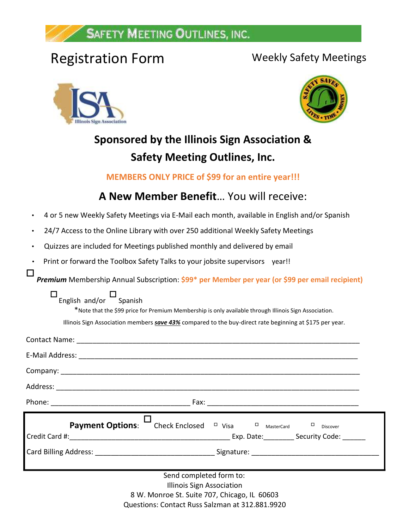## **SAFETY MEETING OUTLINES, INC.**

# Registration Form Weekly Safety Meetings





# **Sponsored by the Illinois Sign Association & Safety Meeting Outlines, Inc.**

## **MEMBERS ONLY PRICE of \$99 for an entire year!!!**

## **A New Member Benefit**… You will receive:

- 4 or 5 new Weekly Safety Meetings via E-Mail each month, available in English and/or Spanish
- 24/7 Access to the Online Library with over 250 additional Weekly Safety Meetings
- Quizzes are included for Meetings published monthly and delivered by email
- Print or forward the Toolbox Safety Talks to your jobsite supervisors year!!

П *Premium* Membership Annual Subscription: **\$99\* per Member per year (or \$99 per email recipient)**

| English and/or | Spanish |
|----------------|---------|

 $\Box$ 

\*Note that the \$99 price for Premium Membership is only available through Illinois Sign Association.

Illinois Sign Association members *save 43%* compared to the buy-direct rate beginning at \$175 per year.

| <b>Payment Options:</b> $\overline{\phantom{a}}$ Check Enclosed $\overline{\phantom{a}}$ Visa $\overline{\phantom{a}}$ MasterCard | $\Box$<br>Discover |
|-----------------------------------------------------------------------------------------------------------------------------------|--------------------|
|                                                                                                                                   |                    |

8 W. Monroe St. Suite 707, Chicago, IL 60603 Questions: Contact Russ Salzman at 312.881.9920